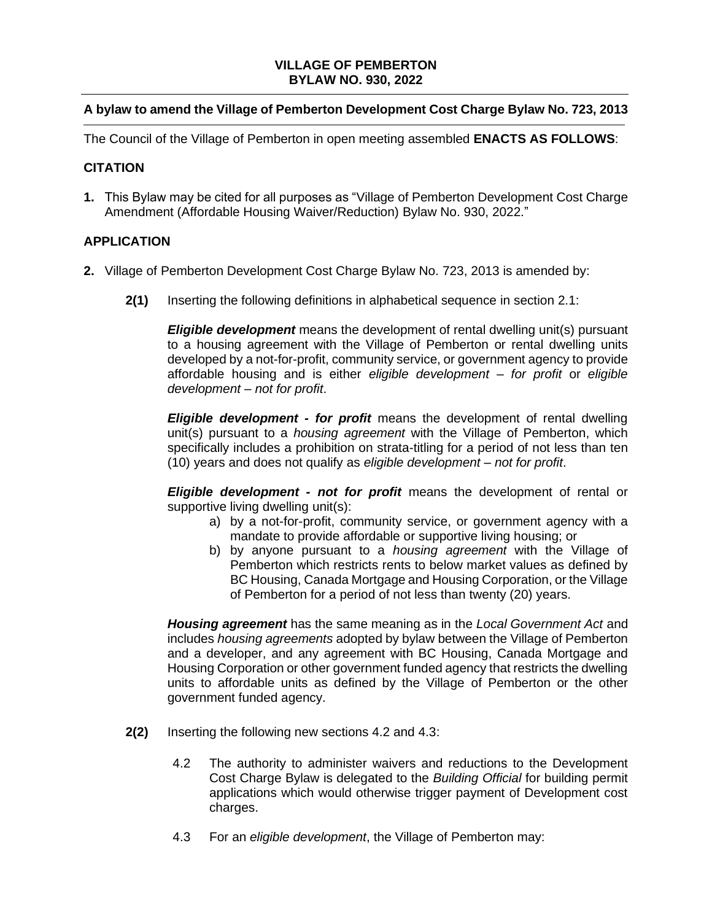## **VILLAGE OF PEMBERTON BYLAW NO. 930, 2022**

## **A bylaw to amend the Village of Pemberton Development Cost Charge Bylaw No. 723, 2013**

The Council of the Village of Pemberton in open meeting assembled **ENACTS AS FOLLOWS**:

## **CITATION**

**1.** This Bylaw may be cited for all purposes as "Village of Pemberton Development Cost Charge Amendment (Affordable Housing Waiver/Reduction) Bylaw No. 930, 2022."

## **APPLICATION**

- **2.** Village of Pemberton Development Cost Charge Bylaw No. 723, 2013 is amended by:
	- **2(1)** Inserting the following definitions in alphabetical sequence in section 2.1:

*Eligible development* means the development of rental dwelling unit(s) pursuant to a housing agreement with the Village of Pemberton or rental dwelling units developed by a not-for-profit, community service, or government agency to provide affordable housing and is either *eligible development – for profit* or *eligible development – not for profit*.

*Eligible development - for profit* means the development of rental dwelling unit(s) pursuant to a *housing agreement* with the Village of Pemberton, which specifically includes a prohibition on strata-titling for a period of not less than ten (10) years and does not qualify as *eligible development – not for profit*.

*Eligible development - not for profit* means the development of rental or supportive living dwelling unit(s):

- a) by a not-for-profit, community service, or government agency with a mandate to provide affordable or supportive living housing; or
- b) by anyone pursuant to a *housing agreement* with the Village of Pemberton which restricts rents to below market values as defined by BC Housing, Canada Mortgage and Housing Corporation, or the Village of Pemberton for a period of not less than twenty (20) years.

*Housing agreement* has the same meaning as in the *Local Government Act* and includes *housing agreements* adopted by bylaw between the Village of Pemberton and a developer, and any agreement with BC Housing, Canada Mortgage and Housing Corporation or other government funded agency that restricts the dwelling units to affordable units as defined by the Village of Pemberton or the other government funded agency.

- **2(2)** Inserting the following new sections 4.2 and 4.3:
	- 4.2 The authority to administer waivers and reductions to the Development Cost Charge Bylaw is delegated to the *Building Official* for building permit applications which would otherwise trigger payment of Development cost charges.
	- 4.3 For an *eligible development*, the Village of Pemberton may: